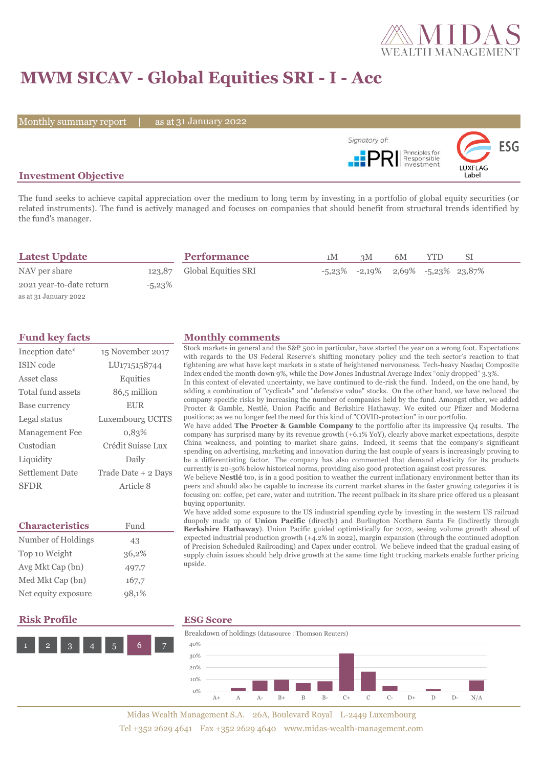

# **MWM SICAV - Global Equities SRI - I - Acc**

Monthly summary report | as at 31 January 2022



## **Investment Objective**

The fund seeks to achieve capital appreciation over the medium to long term by investing in a portfolio of global equity securities (or related instruments). The fund is actively managed and focuses on companies that should benefit from structural trends identified by the fund's manager.

| <b>Latest Update</b>     |           | <b>Performance</b>         | 1M | 3M                                               | 6M | YTD | SΙ |  |
|--------------------------|-----------|----------------------------|----|--------------------------------------------------|----|-----|----|--|
| NAV per share            |           | 123.87 Global Equities SRI |    | $-5,23\%$ $-2,19\%$ $2,69\%$ $-5,23\%$ $23,87\%$ |    |     |    |  |
| 2021 year-to-date return | $-5.23\%$ |                            |    |                                                  |    |     |    |  |
| as at 31 January 2022    |           |                            |    |                                                  |    |     |    |  |

| Inception date*       | 15 November 2017    |
|-----------------------|---------------------|
| ISIN code             | LU1715158744        |
| Asset class           | Equities            |
| Total fund assets     | 86,5 million        |
| Base currency         | <b>EUR</b>          |
| Legal status          | Luxembourg UCITS    |
| <b>Management Fee</b> | 0.83%               |
| Custodian             | Crédit Suisse Lux   |
| Liquidity             | Daily               |
| Settlement Date       | Trade Date + 2 Days |
| <b>SFDR</b>           | Article 8           |

| <b>Characteristics</b> | Fund  |  |  |
|------------------------|-------|--|--|
| Number of Holdings     | 43    |  |  |
| Top 10 Weight          | 36,2% |  |  |
| Avg Mkt Cap (bn)       | 497,7 |  |  |
| Med Mkt Cap (bn)       | 167,7 |  |  |
| Net equity exposure    | 98,1% |  |  |

### **Fund key facts Monthly comments**

Stock markets in general and the S&P 500 in particular, have started the year on a wrong foot. Expectations with regards to the US Federal Reserve's shifting monetary policy and the tech sector's reaction to that tightening are what have kept markets in a state of heightened nervousness. Tech-heavy Nasdaq Composite Index ended the month down 9%, while the Dow Jones Industrial Average Index "only dropped" 3.3%.

In this context of elevated uncertainty, we have continued to de-risk the fund. Indeed, on the one hand, by adding a combination of "cyclicals" and "defensive value" stocks. On the other hand, we have reduced the company specific risks by increasing the number of companies held by the fund. Amongst other, we added Procter & Gamble, Nestlé, Union Pacific and Berkshire Hathaway. We exited our Pfizer and Moderna positions; as we no longer feel the need for this kind of "COVID-protection" in our portfolio.

We have added **The Procter & Gamble Company** to the portfolio after its impressive Q4 results. The company has surprised many by its revenue growth (+6.1% YoY), clearly above market expectations, despite China weakness, and pointing to market share gains. Indeed, it seems that the company's significant spending on advertising, marketing and innovation during the last couple of years is increasingly proving to be a differentiating factor. The company has also commented that demand elasticity for its products currently is 20-30% below historical norms, providing also good protection against cost pressures.

We believe **Nestlé** too, is in a good position to weather the current inflationary environment better than its peers and should also be capable to increase its current market shares in the faster growing categories it is focusing on: coffee, pet care, water and nutrition. The recent pullback in its share price offered us a pleasant buying opportunity.

We have added some exposure to the US industrial spending cycle by investing in the western US railroad duopoly made up of **Union Pacific** (directly) and Burlington Northern Santa Fe (indirectly through **Berkshire Hathaway**). Union Pacific guided optimistically for 2022, seeing volume growth ahead of expected industrial production growth (+4.2% in 2022), margin expansion (through the continued adoption of Precision Scheduled Railroading) and Capex under control. We believe indeed that the gradual easing of supply chain issues should help drive growth at the same time tight trucking markets enable further pricing upside.

### **Risk Profile ESG Score**





Midas Wealth Management S.A. 26A, Boulevard Royal L-2449 Luxembourg Tel +352 2629 4641 Fax +352 2629 4640 www.midas-wealth-management.com